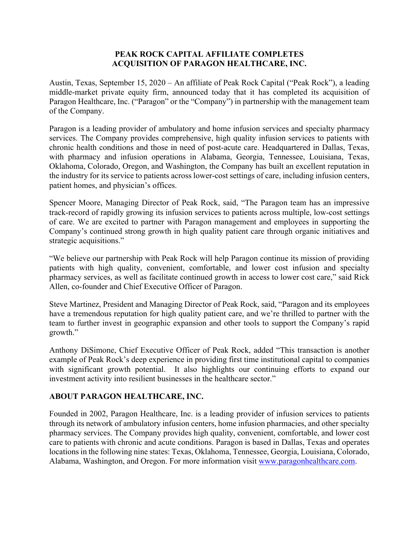## **PEAK ROCK CAPITAL AFFILIATE COMPLETES ACQUISITION OF PARAGON HEALTHCARE, INC.**

Austin, Texas, September 15, 2020 – An affiliate of Peak Rock Capital ("Peak Rock"), a leading middle-market private equity firm, announced today that it has completed its acquisition of Paragon Healthcare, Inc. ("Paragon" or the "Company") in partnership with the management team of the Company.

Paragon is a leading provider of ambulatory and home infusion services and specialty pharmacy services. The Company provides comprehensive, high quality infusion services to patients with chronic health conditions and those in need of post-acute care. Headquartered in Dallas, Texas, with pharmacy and infusion operations in Alabama, Georgia, Tennessee, Louisiana, Texas, Oklahoma, Colorado, Oregon, and Washington, the Company has built an excellent reputation in the industry for its service to patients across lower-cost settings of care, including infusion centers, patient homes, and physician's offices.

Spencer Moore, Managing Director of Peak Rock, said, "The Paragon team has an impressive track-record of rapidly growing its infusion services to patients across multiple, low-cost settings of care. We are excited to partner with Paragon management and employees in supporting the Company's continued strong growth in high quality patient care through organic initiatives and strategic acquisitions."

"We believe our partnership with Peak Rock will help Paragon continue its mission of providing patients with high quality, convenient, comfortable, and lower cost infusion and specialty pharmacy services, as well as facilitate continued growth in access to lower cost care," said Rick Allen, co-founder and Chief Executive Officer of Paragon.

Steve Martinez, President and Managing Director of Peak Rock, said, "Paragon and its employees have a tremendous reputation for high quality patient care, and we're thrilled to partner with the team to further invest in geographic expansion and other tools to support the Company's rapid growth."

Anthony DiSimone, Chief Executive Officer of Peak Rock, added "This transaction is another example of Peak Rock's deep experience in providing first time institutional capital to companies with significant growth potential. It also highlights our continuing efforts to expand our investment activity into resilient businesses in the healthcare sector."

## **ABOUT PARAGON HEALTHCARE, INC.**

Founded in 2002, Paragon Healthcare, Inc. is a leading provider of infusion services to patients through its network of ambulatory infusion centers, home infusion pharmacies, and other specialty pharmacy services. The Company provides high quality, convenient, comfortable, and lower cost care to patients with chronic and acute conditions. Paragon is based in Dallas, Texas and operates locations in the following nine states: Texas, Oklahoma, Tennessee, Georgia, Louisiana, Colorado, Alabama, Washington, and Oregon. For more information visit www.paragonhealthcare.com.